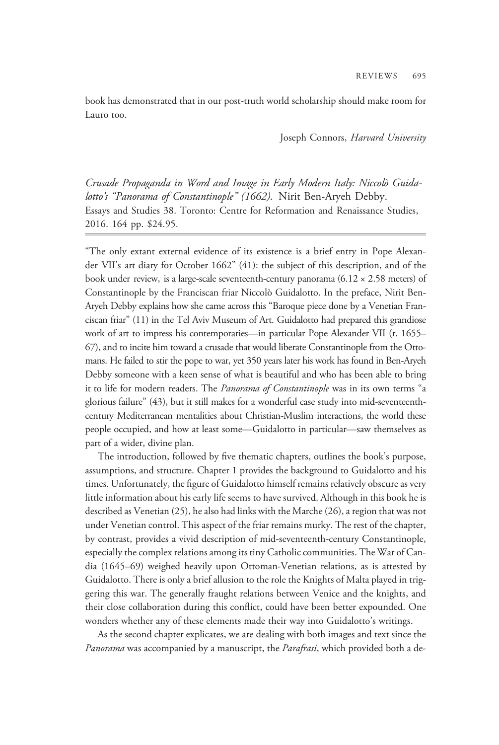book has demonstrated that in our post-truth world scholarship should make room for Lauro too.

Joseph Connors, Harvard University

Crusade Propaganda in Word and Image in Early Modern Italy: Niccolò Guidalotto's "Panorama of Constantinople" (1662). Nirit Ben-Aryeh Debby. Essays and Studies 38. Toronto: Centre for Reformation and Renaissance Studies, 2016. 164 pp. \$24.95.

"The only extant external evidence of its existence is a brief entry in Pope Alexander VII's art diary for October 1662" (41): the subject of this description, and of the book under review, is a large-scale seventeenth-century panorama (6.12 × 2.58 meters) of Constantinople by the Franciscan friar Niccolò Guidalotto. In the preface, Nirit Ben-Aryeh Debby explains how she came across this "Baroque piece done by a Venetian Franciscan friar" (11) in the Tel Aviv Museum of Art. Guidalotto had prepared this grandiose work of art to impress his contemporaries—in particular Pope Alexander VII (r. 1655– 67), and to incite him toward a crusade that would liberate Constantinople from the Ottomans. He failed to stir the pope to war, yet 350 years later his work has found in Ben-Aryeh Debby someone with a keen sense of what is beautiful and who has been able to bring it to life for modern readers. The Panorama of Constantinople was in its own terms "a glorious failure" (43), but it still makes for a wonderful case study into mid-seventeenthcentury Mediterranean mentalities about Christian-Muslim interactions, the world these people occupied, and how at least some—Guidalotto in particular—saw themselves as part of a wider, divine plan.

The introduction, followed by five thematic chapters, outlines the book's purpose, assumptions, and structure. Chapter 1 provides the background to Guidalotto and his times. Unfortunately, the figure of Guidalotto himself remains relatively obscure as very little information about his early life seems to have survived. Although in this book he is described as Venetian (25), he also had links with the Marche (26), a region that was not under Venetian control. This aspect of the friar remains murky. The rest of the chapter, by contrast, provides a vivid description of mid-seventeenth-century Constantinople, especially the complex relations among its tiny Catholic communities. The War of Candia (1645–69) weighed heavily upon Ottoman-Venetian relations, as is attested by Guidalotto. There is only a brief allusion to the role the Knights of Malta played in triggering this war. The generally fraught relations between Venice and the knights, and their close collaboration during this conflict, could have been better expounded. One wonders whether any of these elements made their way into Guidalotto's writings.

As the second chapter explicates, we are dealing with both images and text since the Panorama was accompanied by a manuscript, the *Parafrasi*, which provided both a de